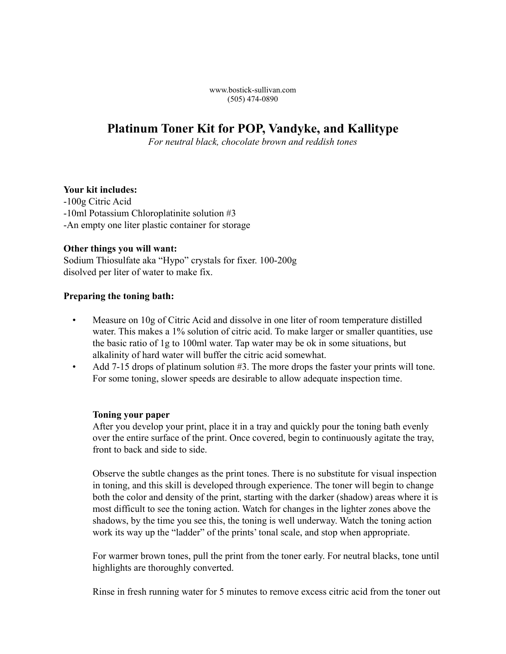www.bostick-sullivan.com (505) 474-0890

# **Platinum Toner Kit for POP, Vandyke, and Kallitype**

*For neutral black, chocolate brown and reddish tones*

## **Your kit includes:**

-100g Citric Acid -10ml Potassium Chloroplatinite solution #3 -An empty one liter plastic container for storage

#### **Other things you will want:**

Sodium Thiosulfate aka "Hypo" crystals for fixer. 100-200g disolved per liter of water to make fix.

#### **Preparing the toning bath:**

- Measure on 10g of Citric Acid and dissolve in one liter of room temperature distilled water. This makes a 1% solution of citric acid. To make larger or smaller quantities, use the basic ratio of 1g to 100ml water. Tap water may be ok in some situations, but alkalinity of hard water will buffer the citric acid somewhat.
- Add 7-15 drops of platinum solution #3. The more drops the faster your prints will tone. For some toning, slower speeds are desirable to allow adequate inspection time.

## **Toning your paper**

After you develop your print, place it in a tray and quickly pour the toning bath evenly over the entire surface of the print. Once covered, begin to continuously agitate the tray, front to back and side to side.

Observe the subtle changes as the print tones. There is no substitute for visual inspection in toning, and this skill is developed through experience. The toner will begin to change both the color and density of the print, starting with the darker (shadow) areas where it is most difficult to see the toning action. Watch for changes in the lighter zones above the shadows, by the time you see this, the toning is well underway. Watch the toning action work its way up the "ladder" of the prints' tonal scale, and stop when appropriate.

For warmer brown tones, pull the print from the toner early. For neutral blacks, tone until highlights are thoroughly converted.

Rinse in fresh running water for 5 minutes to remove excess citric acid from the toner out